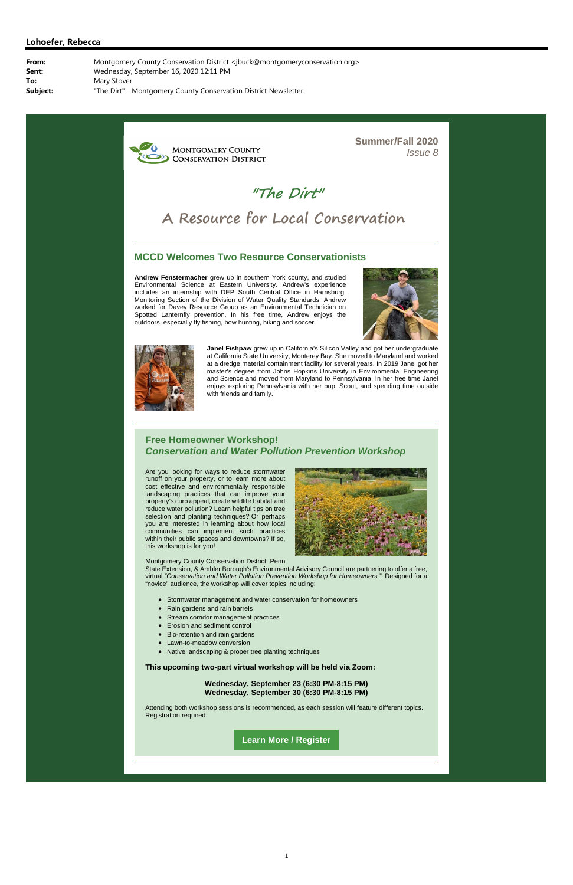**MONTGOMERY COUNTY CONSERVATION DISTRICT**  **Summer/Fall 2020** *Issue 8*

**"The Dirt"**

# **A Resource for Local Conservation**

#### **MCCD Welcomes Two Resource Conservationists**

**Andrew Fenstermacher** grew up in southern York county, and studied Environmental Science at Eastern University. Andrew's experience includes an internship with DEP South Central Office in Harrisburg, Monitoring Section of the Division of Water Quality Standards. Andrew worked for Davey Resource Group as an Environmental Technician on Spotted Lanternfly prevention. In his free time, Andrew enjoys the outdoors, especially fly fishing, bow hunting, hiking and soccer.





**Janel Fishpaw** grew up in California's Silicon Valley and got her undergraduate at California State University, Monterey Bay. She moved to Maryland and worked at a dredge material containment facility for several years. In 2019 Janel got her master's degree from Johns Hopkins University in Environmental Engineering and Science and moved from Maryland to Pennsylvania. In her free time Janel enjoys exploring Pennsylvania with her pup, Scout, and spending time outside with friends and family.

#### **Free Homeowner Workshop!**  *Conservation and Water Pollution Prevention Workshop*

Are you looking for ways to reduce stormwater runoff on your property, or to learn more about cost effective and environmentally responsible landscaping practices that can improve your property's curb appeal, create wildlife habitat and reduce water pollution? Learn helpful tips on tree selection and planting techniques? Or perhaps you are interested in learning about how local communities can implement such practices within their public spaces and downtowns? If so, this workshop is for you!



Montgomery County Conservation District, Penn

State Extension, & Ambler Borough's Environmental Advisory Council are partnering to offer a free, virtual *"Conservation and Water Pollution Prevention Workshop for Homeowners."* Designed for a "novice" audience, the workshop will cover topics including:

- Stormwater management and water conservation for homeowners
- Rain gardens and rain barrels
- Stream corridor management practices
- **Erosion and sediment control**
- Bio-retention and rain gardens
- Lawn-to-meadow conversion
- Native landscaping & proper tree planting techniques

**This upcoming two-part virtual workshop will be held via Zoom:**

**Wednesday, September 23 (6:30 PM-8:15 PM) Wednesday, September 30 (6:30 PM-8:15 PM)**

Attending both workshop sessions is recommended, as each session will feature different topics. Registration required.

**Learn More / Register**